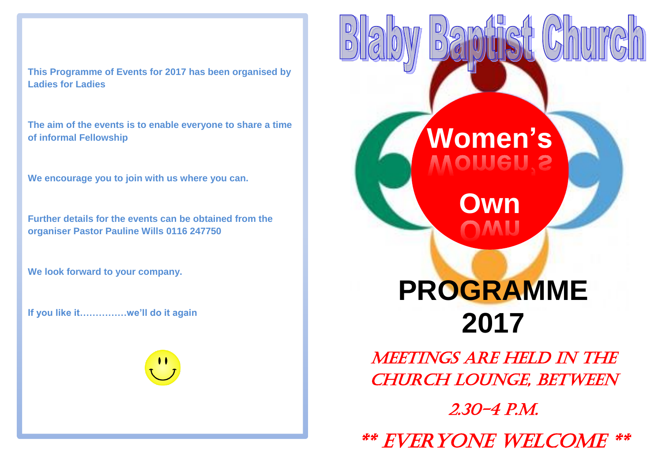**This Programme of Events for 2017 has been organised by Ladies for Ladies**

**The aim of the events is to enable everyone to share a time of informal Fellowship**

**We encourage you to join with us where you can.**

**Further details for the events can be obtained from the organiser Pastor Pauline Wills 0116 247750**

**We look forward to your company.**

**If you like it……………we'll do it again** 

## **Women's** i<br>Li I

**Own**

í

## **PROGRAMME 2017**

Meetings are held in the CHURCH LOUNGE, BETWEEN

2.30-4 p.m.

\*\* Everyone Welcome \*\*